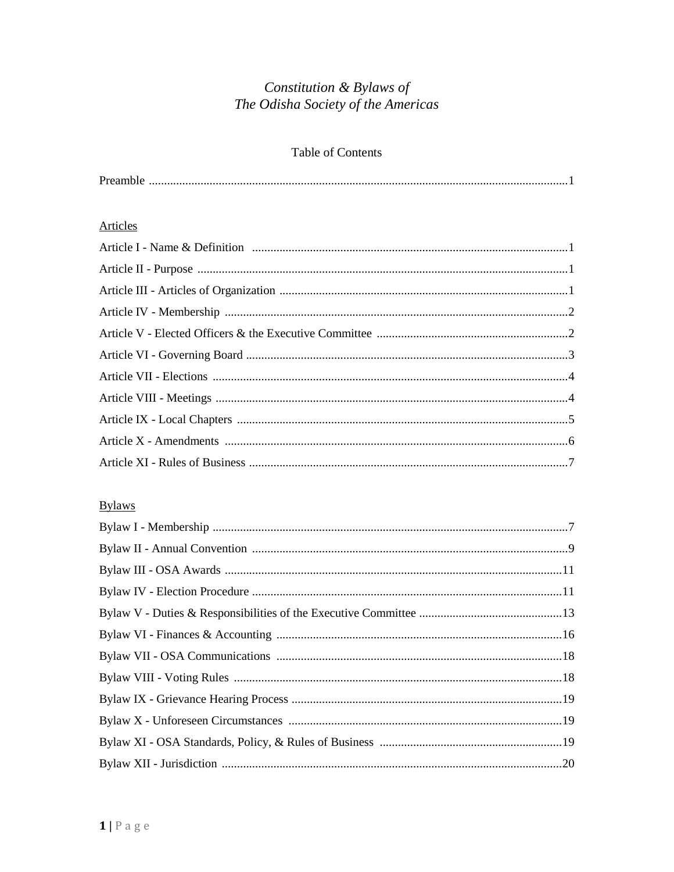# Constitution & Bylaws of The Odisha Society of the Americas

## Table of Contents

| Preamble |
|----------|
|          |

# Articles

# **Bylaws**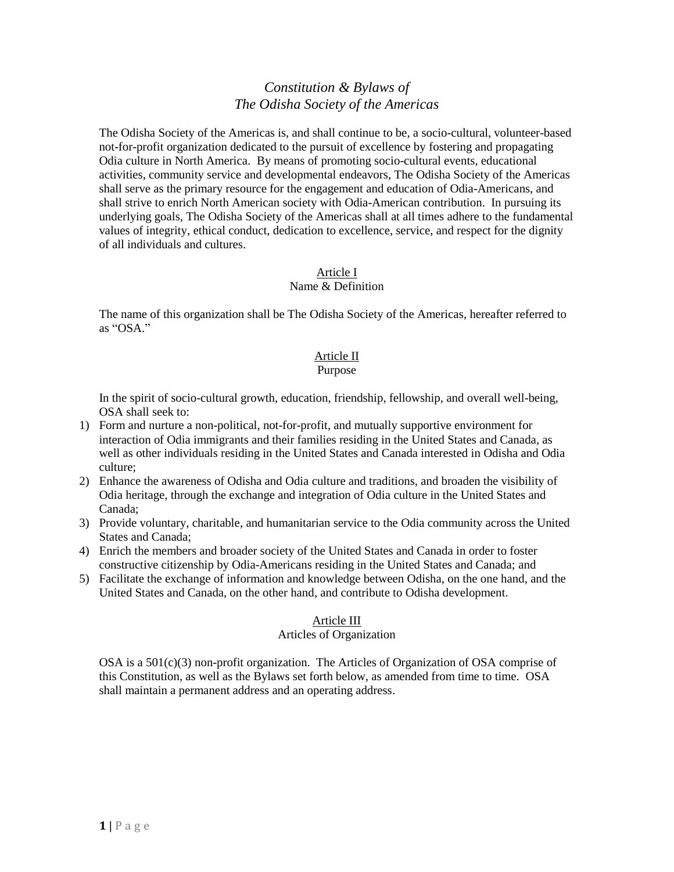# *Constitution & Bylaws of The Odisha Society of the Americas*

The Odisha Society of the Americas is, and shall continue to be, a socio-cultural, volunteer-based not-for-profit organization dedicated to the pursuit of excellence by fostering and propagating Odia culture in North America. By means of promoting socio-cultural events, educational activities, community service and developmental endeavors, The Odisha Society of the Americas shall serve as the primary resource for the engagement and education of Odia-Americans, and shall strive to enrich North American society with Odia-American contribution. In pursuing its underlying goals, The Odisha Society of the Americas shall at all times adhere to the fundamental values of integrity, ethical conduct, dedication to excellence, service, and respect for the dignity of all individuals and cultures.

# Article I

### Name & Definition

The name of this organization shall be The Odisha Society of the Americas, hereafter referred to as "OSA."

## Article II

### Purpose

In the spirit of socio-cultural growth, education, friendship, fellowship, and overall well-being, OSA shall seek to:

- 1) Form and nurture a non-political, not-for-profit, and mutually supportive environment for interaction of Odia immigrants and their families residing in the United States and Canada, as well as other individuals residing in the United States and Canada interested in Odisha and Odia culture;
- 2) Enhance the awareness of Odisha and Odia culture and traditions, and broaden the visibility of Odia heritage, through the exchange and integration of Odia culture in the United States and Canada;
- 3) Provide voluntary, charitable, and humanitarian service to the Odia community across the United States and Canada;
- 4) Enrich the members and broader society of the United States and Canada in order to foster constructive citizenship by Odia-Americans residing in the United States and Canada; and
- 5) Facilitate the exchange of information and knowledge between Odisha, on the one hand, and the United States and Canada, on the other hand, and contribute to Odisha development.

### Article III

### Articles of Organization

OSA is a 501(c)(3) non-profit organization.The Articles of Organization of OSA comprise of this Constitution, as well as the Bylaws set forth below, as amended from time to time. OSA shall maintain a permanent address and an operating address.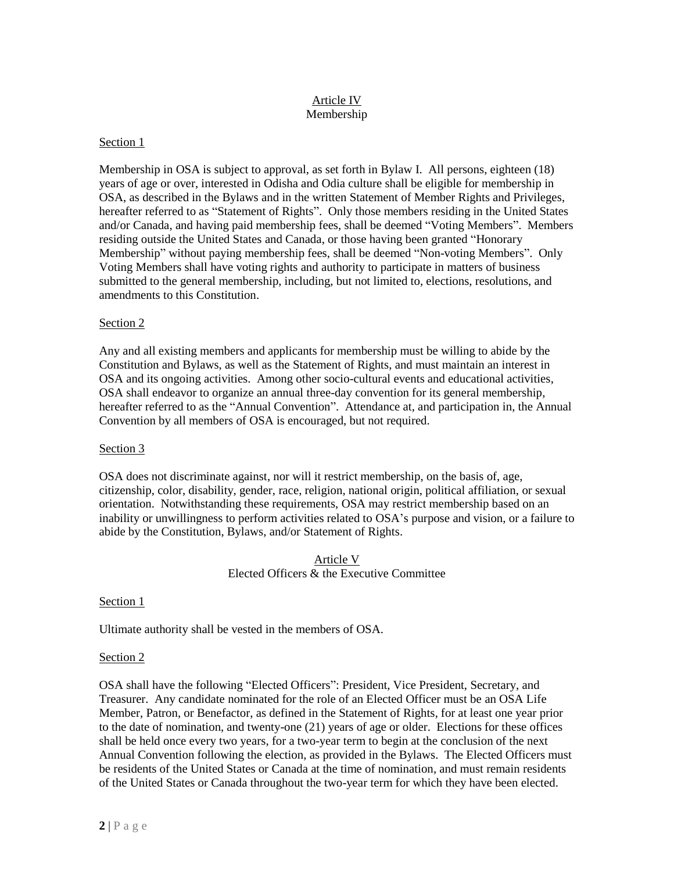### Article IV Membership

### Section 1

Membership in OSA is subject to approval, as set forth in Bylaw I. All persons, eighteen (18) years of age or over, interested in Odisha and Odia culture shall be eligible for membership in OSA, as described in the Bylaws and in the written Statement of Member Rights and Privileges, hereafter referred to as "Statement of Rights". Only those members residing in the United States and/or Canada, and having paid membership fees, shall be deemed "Voting Members". Members residing outside the United States and Canada, or those having been granted "Honorary Membership" without paying membership fees, shall be deemed "Non-voting Members". Only Voting Members shall have voting rights and authority to participate in matters of business submitted to the general membership, including, but not limited to, elections, resolutions, and amendments to this Constitution.

### Section 2

Any and all existing members and applicants for membership must be willing to abide by the Constitution and Bylaws, as well as the Statement of Rights, and must maintain an interest in OSA and its ongoing activities. Among other socio-cultural events and educational activities, OSA shall endeavor to organize an annual three-day convention for its general membership, hereafter referred to as the "Annual Convention". Attendance at, and participation in, the Annual Convention by all members of OSA is encouraged, but not required.

#### Section 3

OSA does not discriminate against, nor will it restrict membership, on the basis of, age, citizenship, color, disability, gender, race, religion, national origin, political affiliation, or sexual orientation. Notwithstanding these requirements, OSA may restrict membership based on an inability or unwillingness to perform activities related to OSA's purpose and vision, or a failure to abide by the Constitution, Bylaws, and/or Statement of Rights.

### Article V Elected Officers & the Executive Committee

#### Section 1

Ultimate authority shall be vested in the members of OSA.

#### Section 2

OSA shall have the following "Elected Officers": President, Vice President, Secretary, and Treasurer. Any candidate nominated for the role of an Elected Officer must be an OSA Life Member, Patron, or Benefactor, as defined in the Statement of Rights, for at least one year prior to the date of nomination, and twenty-one (21) years of age or older. Elections for these offices shall be held once every two years, for a two-year term to begin at the conclusion of the next Annual Convention following the election, as provided in the Bylaws. The Elected Officers must be residents of the United States or Canada at the time of nomination, and must remain residents of the United States or Canada throughout the two-year term for which they have been elected.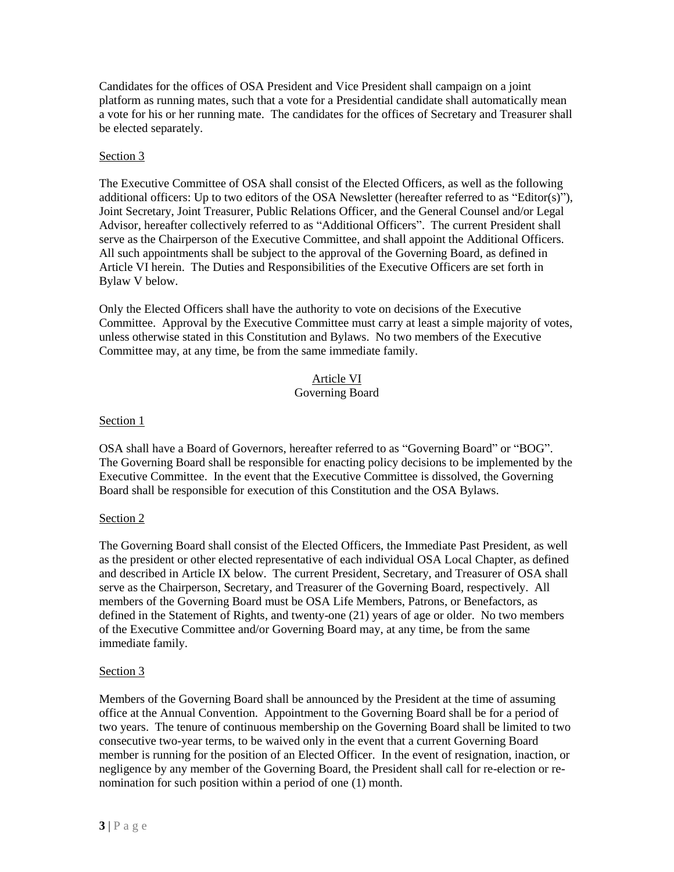Candidates for the offices of OSA President and Vice President shall campaign on a joint platform as running mates, such that a vote for a Presidential candidate shall automatically mean a vote for his or her running mate. The candidates for the offices of Secretary and Treasurer shall be elected separately.

### Section 3

The Executive Committee of OSA shall consist of the Elected Officers, as well as the following additional officers: Up to two editors of the OSA Newsletter (hereafter referred to as "Editor(s)"), Joint Secretary, Joint Treasurer, Public Relations Officer, and the General Counsel and/or Legal Advisor, hereafter collectively referred to as "Additional Officers". The current President shall serve as the Chairperson of the Executive Committee, and shall appoint the Additional Officers. All such appointments shall be subject to the approval of the Governing Board, as defined in Article VI herein.The Duties and Responsibilities of the Executive Officers are set forth in Bylaw V below.

Only the Elected Officers shall have the authority to vote on decisions of the Executive Committee. Approval by the Executive Committee must carry at least a simple majority of votes, unless otherwise stated in this Constitution and Bylaws. No two members of the Executive Committee may, at any time, be from the same immediate family.

#### Article VI Governing Board

### Section 1

OSA shall have a Board of Governors, hereafter referred to as "Governing Board" or "BOG". The Governing Board shall be responsible for enacting policy decisions to be implemented by the Executive Committee. In the event that the Executive Committee is dissolved, the Governing Board shall be responsible for execution of this Constitution and the OSA Bylaws.

### Section 2

The Governing Board shall consist of the Elected Officers, the Immediate Past President, as well as the president or other elected representative of each individual OSA Local Chapter, as defined and described in Article IX below. The current President, Secretary, and Treasurer of OSA shall serve as the Chairperson, Secretary, and Treasurer of the Governing Board, respectively. All members of the Governing Board must be OSA Life Members, Patrons, or Benefactors, as defined in the Statement of Rights, and twenty-one (21) years of age or older. No two members of the Executive Committee and/or Governing Board may, at any time, be from the same immediate family.

### Section 3

Members of the Governing Board shall be announced by the President at the time of assuming office at the Annual Convention. Appointment to the Governing Board shall be for a period of two years. The tenure of continuous membership on the Governing Board shall be limited to two consecutive two-year terms, to be waived only in the event that a current Governing Board member is running for the position of an Elected Officer. In the event of resignation, inaction, or negligence by any member of the Governing Board, the President shall call for re-election or renomination for such position within a period of one (1) month.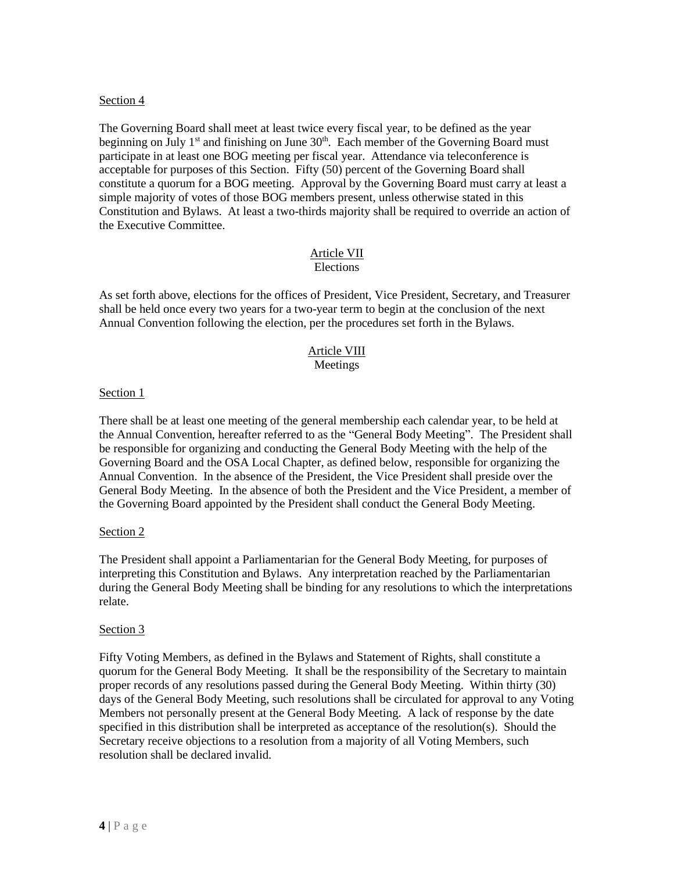### Section 4

The Governing Board shall meet at least twice every fiscal year, to be defined as the year beginning on July 1<sup>st</sup> and finishing on June  $30<sup>th</sup>$ . Each member of the Governing Board must participate in at least one BOG meeting per fiscal year. Attendance via teleconference is acceptable for purposes of this Section. Fifty (50) percent of the Governing Board shall constitute a quorum for a BOG meeting. Approval by the Governing Board must carry at least a simple majority of votes of those BOG members present, unless otherwise stated in this Constitution and Bylaws. At least a two-thirds majority shall be required to override an action of the Executive Committee.

#### Article VII Elections

As set forth above, elections for the offices of President, Vice President, Secretary, and Treasurer shall be held once every two years for a two-year term to begin at the conclusion of the next Annual Convention following the election, per the procedures set forth in the Bylaws.

#### Article VIII Meetings

#### Section 1

There shall be at least one meeting of the general membership each calendar year, to be held at the Annual Convention, hereafter referred to as the "General Body Meeting". The President shall be responsible for organizing and conducting the General Body Meeting with the help of the Governing Board and the OSA Local Chapter, as defined below, responsible for organizing the Annual Convention. In the absence of the President, the Vice President shall preside over the General Body Meeting. In the absence of both the President and the Vice President, a member of the Governing Board appointed by the President shall conduct the General Body Meeting.

#### Section 2

The President shall appoint a Parliamentarian for the General Body Meeting, for purposes of interpreting this Constitution and Bylaws. Any interpretation reached by the Parliamentarian during the General Body Meeting shall be binding for any resolutions to which the interpretations relate.

#### Section 3

Fifty Voting Members, as defined in the Bylaws and Statement of Rights, shall constitute a quorum for the General Body Meeting. It shall be the responsibility of the Secretary to maintain proper records of any resolutions passed during the General Body Meeting. Within thirty (30) days of the General Body Meeting, such resolutions shall be circulated for approval to any Voting Members not personally present at the General Body Meeting. A lack of response by the date specified in this distribution shall be interpreted as acceptance of the resolution(s). Should the Secretary receive objections to a resolution from a majority of all Voting Members, such resolution shall be declared invalid.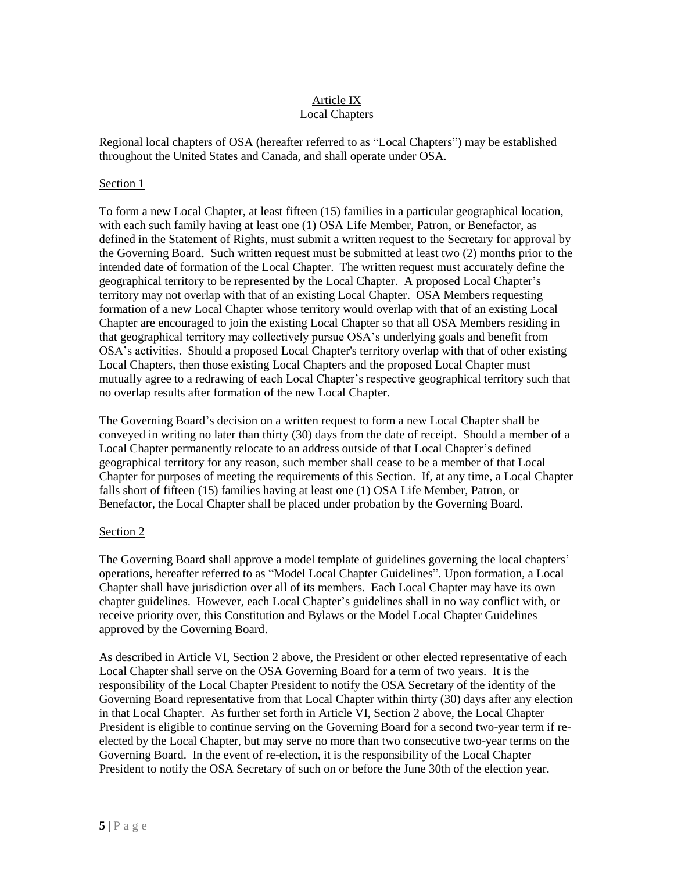#### Article IX Local Chapters

Regional local chapters of OSA (hereafter referred to as "Local Chapters") may be established throughout the United States and Canada, and shall operate under OSA.

### Section 1

To form a new Local Chapter, at least fifteen (15) families in a particular geographical location, with each such family having at least one (1) OSA Life Member, Patron, or Benefactor, as defined in the Statement of Rights, must submit a written request to the Secretary for approval by the Governing Board. Such written request must be submitted at least two (2) months prior to the intended date of formation of the Local Chapter. The written request must accurately define the geographical territory to be represented by the Local Chapter. A proposed Local Chapter's territory may not overlap with that of an existing Local Chapter. OSA Members requesting formation of a new Local Chapter whose territory would overlap with that of an existing Local Chapter are encouraged to join the existing Local Chapter so that all OSA Members residing in that geographical territory may collectively pursue OSA's underlying goals and benefit from OSA's activities. Should a proposed Local Chapter's territory overlap with that of other existing Local Chapters, then those existing Local Chapters and the proposed Local Chapter must mutually agree to a redrawing of each Local Chapter's respective geographical territory such that no overlap results after formation of the new Local Chapter.

The Governing Board's decision on a written request to form a new Local Chapter shall be conveyed in writing no later than thirty (30) days from the date of receipt. Should a member of a Local Chapter permanently relocate to an address outside of that Local Chapter's defined geographical territory for any reason, such member shall cease to be a member of that Local Chapter for purposes of meeting the requirements of this Section. If, at any time, a Local Chapter falls short of fifteen (15) families having at least one (1) OSA Life Member, Patron, or Benefactor, the Local Chapter shall be placed under probation by the Governing Board.

### Section 2

The Governing Board shall approve a model template of guidelines governing the local chapters' operations, hereafter referred to as "Model Local Chapter Guidelines". Upon formation, a Local Chapter shall have jurisdiction over all of its members. Each Local Chapter may have its own chapter guidelines. However, each Local Chapter's guidelines shall in no way conflict with, or receive priority over, this Constitution and Bylaws or the Model Local Chapter Guidelines approved by the Governing Board.

As described in Article VI, Section 2 above, the President or other elected representative of each Local Chapter shall serve on the OSA Governing Board for a term of two years. It is the responsibility of the Local Chapter President to notify the OSA Secretary of the identity of the Governing Board representative from that Local Chapter within thirty (30) days after any election in that Local Chapter. As further set forth in Article VI, Section 2 above, the Local Chapter President is eligible to continue serving on the Governing Board for a second two-year term if reelected by the Local Chapter, but may serve no more than two consecutive two-year terms on the Governing Board. In the event of re-election, it is the responsibility of the Local Chapter President to notify the OSA Secretary of such on or before the June 30th of the election year.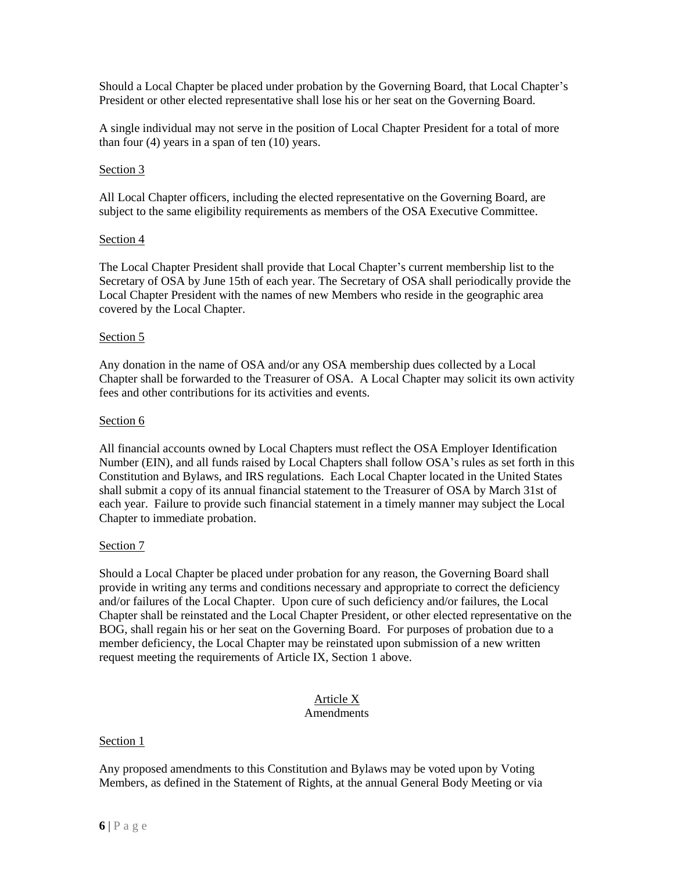Should a Local Chapter be placed under probation by the Governing Board, that Local Chapter's President or other elected representative shall lose his or her seat on the Governing Board.

A single individual may not serve in the position of Local Chapter President for a total of more than four  $(4)$  years in a span of ten  $(10)$  years.

### Section 3

All Local Chapter officers, including the elected representative on the Governing Board, are subject to the same eligibility requirements as members of the OSA Executive Committee.

### Section 4

The Local Chapter President shall provide that Local Chapter's current membership list to the Secretary of OSA by June 15th of each year. The Secretary of OSA shall periodically provide the Local Chapter President with the names of new Members who reside in the geographic area covered by the Local Chapter.

### Section 5

Any donation in the name of OSA and/or any OSA membership dues collected by a Local Chapter shall be forwarded to the Treasurer of OSA. A Local Chapter may solicit its own activity fees and other contributions for its activities and events.

### Section 6

All financial accounts owned by Local Chapters must reflect the OSA Employer Identification Number (EIN), and all funds raised by Local Chapters shall follow OSA's rules as set forth in this Constitution and Bylaws, and IRS regulations. Each Local Chapter located in the United States shall submit a copy of its annual financial statement to the Treasurer of OSA by March 31st of each year. Failure to provide such financial statement in a timely manner may subject the Local Chapter to immediate probation.

### Section 7

Should a Local Chapter be placed under probation for any reason, the Governing Board shall provide in writing any terms and conditions necessary and appropriate to correct the deficiency and/or failures of the Local Chapter. Upon cure of such deficiency and/or failures, the Local Chapter shall be reinstated and the Local Chapter President, or other elected representative on the BOG, shall regain his or her seat on the Governing Board. For purposes of probation due to a member deficiency, the Local Chapter may be reinstated upon submission of a new written request meeting the requirements of Article IX, Section 1 above.

# Article X

## **Amendments**

### Section 1

Any proposed amendments to this Constitution and Bylaws may be voted upon by Voting Members, as defined in the Statement of Rights, at the annual General Body Meeting or via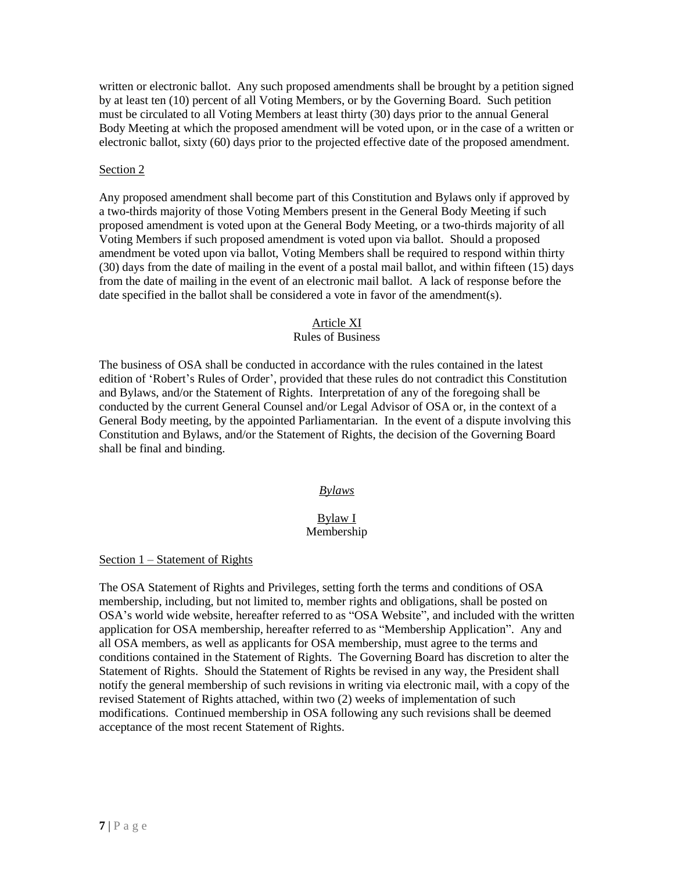written or electronic ballot. Any such proposed amendments shall be brought by a petition signed by at least ten (10) percent of all Voting Members, or by the Governing Board. Such petition must be circulated to all Voting Members at least thirty (30) days prior to the annual General Body Meeting at which the proposed amendment will be voted upon, or in the case of a written or electronic ballot, sixty (60) days prior to the projected effective date of the proposed amendment.

### Section 2

Any proposed amendment shall become part of this Constitution and Bylaws only if approved by a two-thirds majority of those Voting Members present in the General Body Meeting if such proposed amendment is voted upon at the General Body Meeting, or a two-thirds majority of all Voting Members if such proposed amendment is voted upon via ballot. Should a proposed amendment be voted upon via ballot, Voting Members shall be required to respond within thirty (30) days from the date of mailing in the event of a postal mail ballot, and within fifteen (15) days from the date of mailing in the event of an electronic mail ballot. A lack of response before the date specified in the ballot shall be considered a vote in favor of the amendment(s).

### Article XI

### Rules of Business

The business of OSA shall be conducted in accordance with the rules contained in the latest edition of 'Robert's Rules of Order', provided that these rules do not contradict this Constitution and Bylaws, and/or the Statement of Rights. Interpretation of any of the foregoing shall be conducted by the current General Counsel and/or Legal Advisor of OSA or, in the context of a General Body meeting, by the appointed Parliamentarian. In the event of a dispute involving this Constitution and Bylaws, and/or the Statement of Rights, the decision of the Governing Board shall be final and binding.

### *Bylaws*

### Bylaw I Membership

### Section 1 – Statement of Rights

The OSA Statement of Rights and Privileges, setting forth the terms and conditions of OSA membership, including, but not limited to, member rights and obligations, shall be posted on OSA's world wide website, hereafter referred to as "OSA Website", and included with the written application for OSA membership, hereafter referred to as "Membership Application". Any and all OSA members, as well as applicants for OSA membership, must agree to the terms and conditions contained in the Statement of Rights. The Governing Board has discretion to alter the Statement of Rights. Should the Statement of Rights be revised in any way, the President shall notify the general membership of such revisions in writing via electronic mail, with a copy of the revised Statement of Rights attached, within two (2) weeks of implementation of such modifications. Continued membership in OSA following any such revisions shall be deemed acceptance of the most recent Statement of Rights.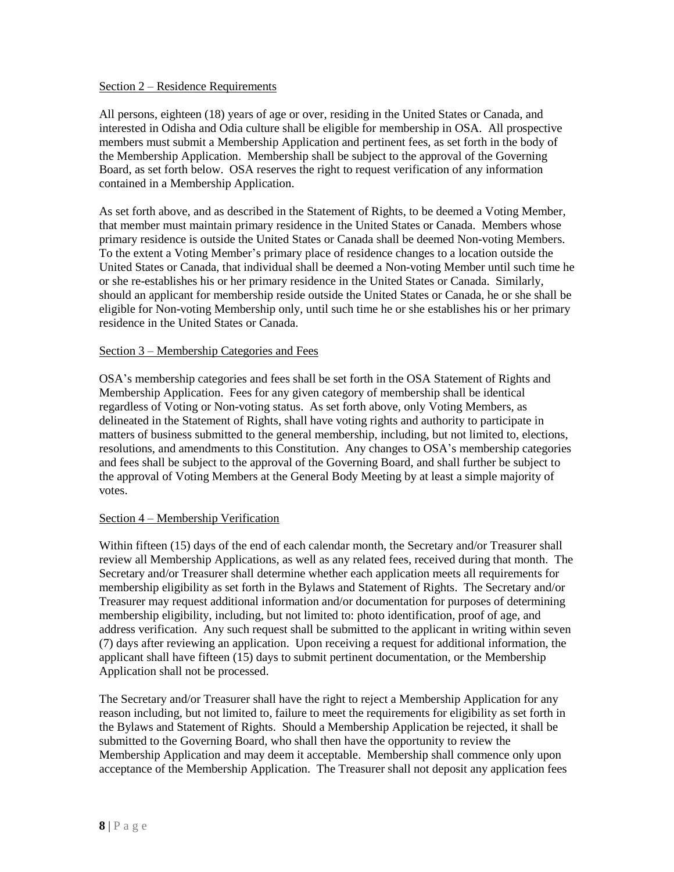#### Section 2 – Residence Requirements

All persons, eighteen (18) years of age or over, residing in the United States or Canada, and interested in Odisha and Odia culture shall be eligible for membership in OSA. All prospective members must submit a Membership Application and pertinent fees, as set forth in the body of the Membership Application. Membership shall be subject to the approval of the Governing Board, as set forth below. OSA reserves the right to request verification of any information contained in a Membership Application.

As set forth above, and as described in the Statement of Rights, to be deemed a Voting Member, that member must maintain primary residence in the United States or Canada. Members whose primary residence is outside the United States or Canada shall be deemed Non-voting Members. To the extent a Voting Member's primary place of residence changes to a location outside the United States or Canada, that individual shall be deemed a Non-voting Member until such time he or she re-establishes his or her primary residence in the United States or Canada. Similarly, should an applicant for membership reside outside the United States or Canada, he or she shall be eligible for Non-voting Membership only, until such time he or she establishes his or her primary residence in the United States or Canada.

### Section 3 – Membership Categories and Fees

OSA's membership categories and fees shall be set forth in the OSA Statement of Rights and Membership Application. Fees for any given category of membership shall be identical regardless of Voting or Non-voting status. As set forth above, only Voting Members, as delineated in the Statement of Rights, shall have voting rights and authority to participate in matters of business submitted to the general membership, including, but not limited to, elections, resolutions, and amendments to this Constitution. Any changes to OSA's membership categories and fees shall be subject to the approval of the Governing Board, and shall further be subject to the approval of Voting Members at the General Body Meeting by at least a simple majority of votes.

### Section 4 – Membership Verification

Within fifteen (15) days of the end of each calendar month, the Secretary and/or Treasurer shall review all Membership Applications, as well as any related fees, received during that month. The Secretary and/or Treasurer shall determine whether each application meets all requirements for membership eligibility as set forth in the Bylaws and Statement of Rights. The Secretary and/or Treasurer may request additional information and/or documentation for purposes of determining membership eligibility, including, but not limited to: photo identification, proof of age, and address verification. Any such request shall be submitted to the applicant in writing within seven (7) days after reviewing an application. Upon receiving a request for additional information, the applicant shall have fifteen (15) days to submit pertinent documentation, or the Membership Application shall not be processed.

The Secretary and/or Treasurer shall have the right to reject a Membership Application for any reason including, but not limited to, failure to meet the requirements for eligibility as set forth in the Bylaws and Statement of Rights. Should a Membership Application be rejected, it shall be submitted to the Governing Board, who shall then have the opportunity to review the Membership Application and may deem it acceptable. Membership shall commence only upon acceptance of the Membership Application. The Treasurer shall not deposit any application fees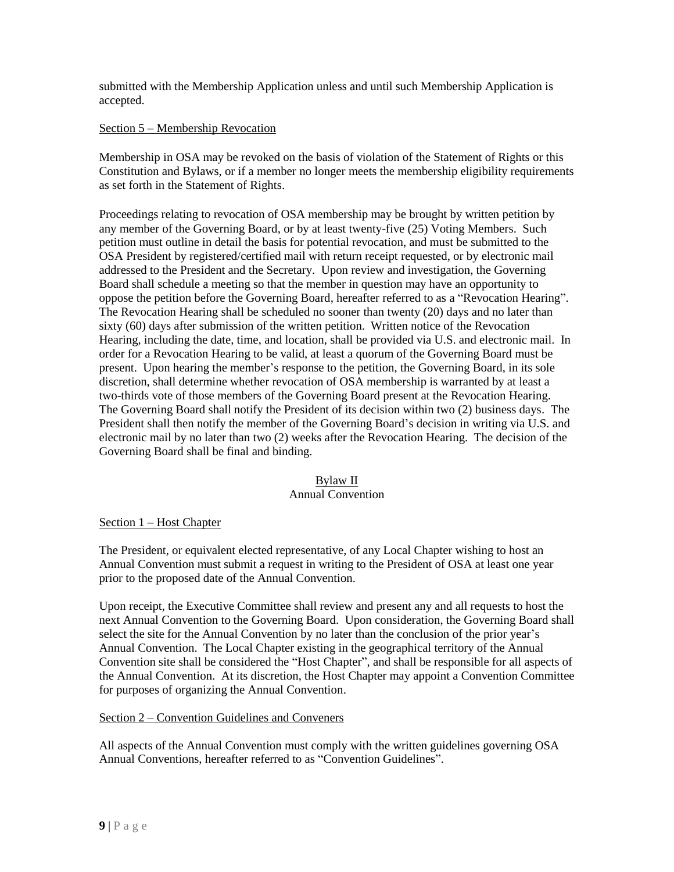submitted with the Membership Application unless and until such Membership Application is accepted.

### Section 5 – Membership Revocation

Membership in OSA may be revoked on the basis of violation of the Statement of Rights or this Constitution and Bylaws, or if a member no longer meets the membership eligibility requirements as set forth in the Statement of Rights.

Proceedings relating to revocation of OSA membership may be brought by written petition by any member of the Governing Board, or by at least twenty-five (25) Voting Members. Such petition must outline in detail the basis for potential revocation, and must be submitted to the OSA President by registered/certified mail with return receipt requested, or by electronic mail addressed to the President and the Secretary. Upon review and investigation, the Governing Board shall schedule a meeting so that the member in question may have an opportunity to oppose the petition before the Governing Board, hereafter referred to as a "Revocation Hearing". The Revocation Hearing shall be scheduled no sooner than twenty (20) days and no later than sixty (60) days after submission of the written petition. Written notice of the Revocation Hearing, including the date, time, and location, shall be provided via U.S. and electronic mail. In order for a Revocation Hearing to be valid, at least a quorum of the Governing Board must be present. Upon hearing the member's response to the petition, the Governing Board, in its sole discretion, shall determine whether revocation of OSA membership is warranted by at least a two-thirds vote of those members of the Governing Board present at the Revocation Hearing. The Governing Board shall notify the President of its decision within two (2) business days. The President shall then notify the member of the Governing Board's decision in writing via U.S. and electronic mail by no later than two (2) weeks after the Revocation Hearing. The decision of the Governing Board shall be final and binding.

### Bylaw II

#### Annual Convention

#### Section 1 – Host Chapter

The President, or equivalent elected representative, of any Local Chapter wishing to host an Annual Convention must submit a request in writing to the President of OSA at least one year prior to the proposed date of the Annual Convention.

Upon receipt, the Executive Committee shall review and present any and all requests to host the next Annual Convention to the Governing Board. Upon consideration, the Governing Board shall select the site for the Annual Convention by no later than the conclusion of the prior year's Annual Convention. The Local Chapter existing in the geographical territory of the Annual Convention site shall be considered the "Host Chapter", and shall be responsible for all aspects of the Annual Convention. At its discretion, the Host Chapter may appoint a Convention Committee for purposes of organizing the Annual Convention.

### Section 2 – Convention Guidelines and Conveners

All aspects of the Annual Convention must comply with the written guidelines governing OSA Annual Conventions, hereafter referred to as "Convention Guidelines".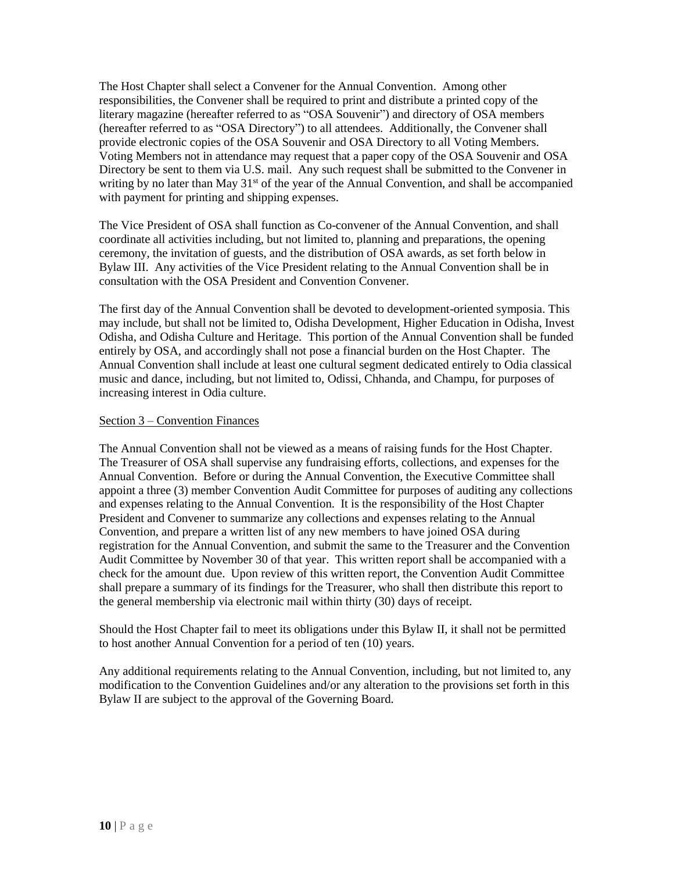The Host Chapter shall select a Convener for the Annual Convention. Among other responsibilities, the Convener shall be required to print and distribute a printed copy of the literary magazine (hereafter referred to as "OSA Souvenir") and directory of OSA members (hereafter referred to as "OSA Directory") to all attendees. Additionally, the Convener shall provide electronic copies of the OSA Souvenir and OSA Directory to all Voting Members. Voting Members not in attendance may request that a paper copy of the OSA Souvenir and OSA Directory be sent to them via U.S. mail. Any such request shall be submitted to the Convener in writing by no later than May  $31<sup>st</sup>$  of the year of the Annual Convention, and shall be accompanied with payment for printing and shipping expenses.

The Vice President of OSA shall function as Co-convener of the Annual Convention, and shall coordinate all activities including, but not limited to, planning and preparations, the opening ceremony, the invitation of guests, and the distribution of OSA awards, as set forth below in Bylaw III. Any activities of the Vice President relating to the Annual Convention shall be in consultation with the OSA President and Convention Convener.

The first day of the Annual Convention shall be devoted to development-oriented symposia. This may include, but shall not be limited to, Odisha Development, Higher Education in Odisha, Invest Odisha, and Odisha Culture and Heritage. This portion of the Annual Convention shall be funded entirely by OSA, and accordingly shall not pose a financial burden on the Host Chapter. The Annual Convention shall include at least one cultural segment dedicated entirely to Odia classical music and dance, including, but not limited to, Odissi, Chhanda, and Champu, for purposes of increasing interest in Odia culture.

### Section 3 – Convention Finances

The Annual Convention shall not be viewed as a means of raising funds for the Host Chapter. The Treasurer of OSA shall supervise any fundraising efforts, collections, and expenses for the Annual Convention. Before or during the Annual Convention, the Executive Committee shall appoint a three (3) member Convention Audit Committee for purposes of auditing any collections and expenses relating to the Annual Convention. It is the responsibility of the Host Chapter President and Convener to summarize any collections and expenses relating to the Annual Convention, and prepare a written list of any new members to have joined OSA during registration for the Annual Convention, and submit the same to the Treasurer and the Convention Audit Committee by November 30 of that year. This written report shall be accompanied with a check for the amount due. Upon review of this written report, the Convention Audit Committee shall prepare a summary of its findings for the Treasurer, who shall then distribute this report to the general membership via electronic mail within thirty (30) days of receipt.

Should the Host Chapter fail to meet its obligations under this Bylaw II, it shall not be permitted to host another Annual Convention for a period of ten (10) years.

Any additional requirements relating to the Annual Convention, including, but not limited to, any modification to the Convention Guidelines and/or any alteration to the provisions set forth in this Bylaw II are subject to the approval of the Governing Board.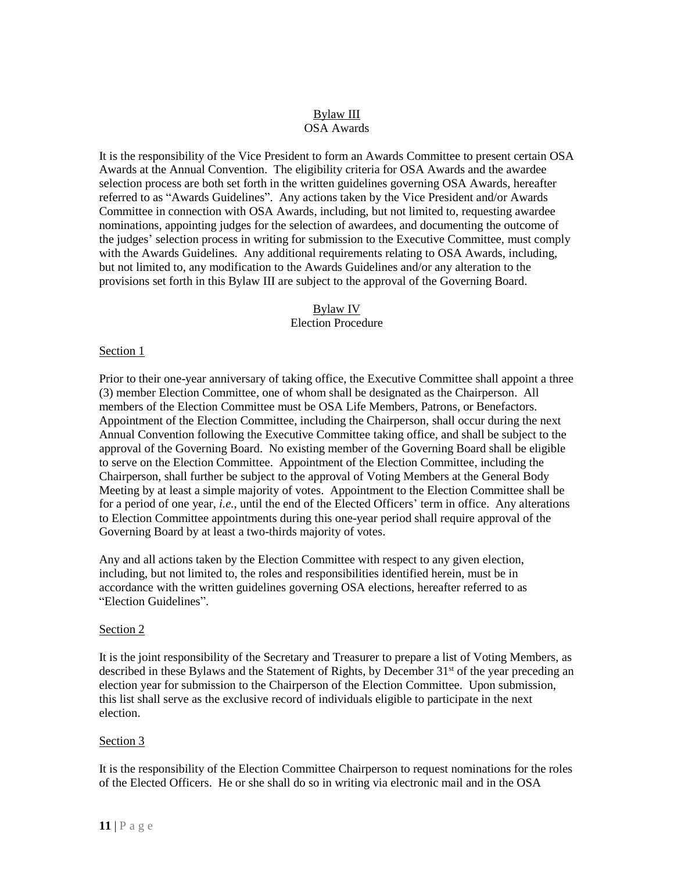### Bylaw III OSA Awards

It is the responsibility of the Vice President to form an Awards Committee to present certain OSA Awards at the Annual Convention. The eligibility criteria for OSA Awards and the awardee selection process are both set forth in the written guidelines governing OSA Awards, hereafter referred to as "Awards Guidelines". Any actions taken by the Vice President and/or Awards Committee in connection with OSA Awards, including, but not limited to, requesting awardee nominations, appointing judges for the selection of awardees, and documenting the outcome of the judges' selection process in writing for submission to the Executive Committee, must comply with the Awards Guidelines. Any additional requirements relating to OSA Awards, including, but not limited to, any modification to the Awards Guidelines and/or any alteration to the provisions set forth in this Bylaw III are subject to the approval of the Governing Board.

### Bylaw IV Election Procedure

### Section 1

Prior to their one-year anniversary of taking office, the Executive Committee shall appoint a three (3) member Election Committee, one of whom shall be designated as the Chairperson. All members of the Election Committee must be OSA Life Members, Patrons, or Benefactors. Appointment of the Election Committee, including the Chairperson, shall occur during the next Annual Convention following the Executive Committee taking office, and shall be subject to the approval of the Governing Board. No existing member of the Governing Board shall be eligible to serve on the Election Committee. Appointment of the Election Committee, including the Chairperson, shall further be subject to the approval of Voting Members at the General Body Meeting by at least a simple majority of votes. Appointment to the Election Committee shall be for a period of one year, *i.e.*, until the end of the Elected Officers' term in office. Any alterations to Election Committee appointments during this one-year period shall require approval of the Governing Board by at least a two-thirds majority of votes.

Any and all actions taken by the Election Committee with respect to any given election, including, but not limited to, the roles and responsibilities identified herein, must be in accordance with the written guidelines governing OSA elections, hereafter referred to as "Election Guidelines".

#### Section 2

It is the joint responsibility of the Secretary and Treasurer to prepare a list of Voting Members, as described in these Bylaws and the Statement of Rights, by December 31<sup>st</sup> of the year preceding an election year for submission to the Chairperson of the Election Committee. Upon submission, this list shall serve as the exclusive record of individuals eligible to participate in the next election.

#### Section 3

It is the responsibility of the Election Committee Chairperson to request nominations for the roles of the Elected Officers. He or she shall do so in writing via electronic mail and in the OSA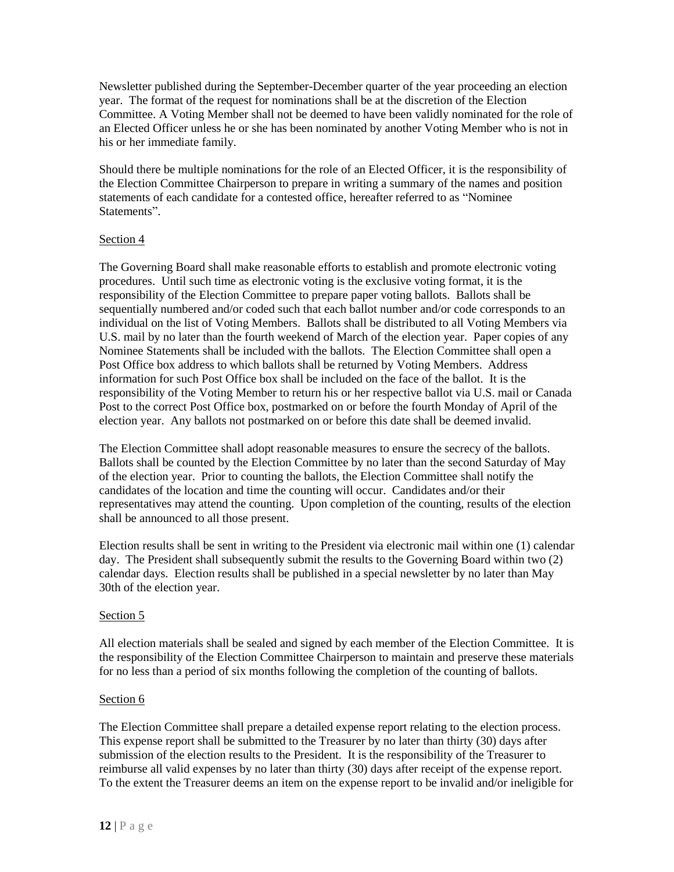Newsletter published during the September-December quarter of the year proceeding an election year. The format of the request for nominations shall be at the discretion of the Election Committee. A Voting Member shall not be deemed to have been validly nominated for the role of an Elected Officer unless he or she has been nominated by another Voting Member who is not in his or her immediate family.

Should there be multiple nominations for the role of an Elected Officer, it is the responsibility of the Election Committee Chairperson to prepare in writing a summary of the names and position statements of each candidate for a contested office, hereafter referred to as "Nominee Statements".

### Section 4

The Governing Board shall make reasonable efforts to establish and promote electronic voting procedures. Until such time as electronic voting is the exclusive voting format, it is the responsibility of the Election Committee to prepare paper voting ballots. Ballots shall be sequentially numbered and/or coded such that each ballot number and/or code corresponds to an individual on the list of Voting Members. Ballots shall be distributed to all Voting Members via U.S. mail by no later than the fourth weekend of March of the election year. Paper copies of any Nominee Statements shall be included with the ballots. The Election Committee shall open a Post Office box address to which ballots shall be returned by Voting Members. Address information for such Post Office box shall be included on the face of the ballot. It is the responsibility of the Voting Member to return his or her respective ballot via U.S. mail or Canada Post to the correct Post Office box, postmarked on or before the fourth Monday of April of the election year. Any ballots not postmarked on or before this date shall be deemed invalid.

The Election Committee shall adopt reasonable measures to ensure the secrecy of the ballots. Ballots shall be counted by the Election Committee by no later than the second Saturday of May of the election year. Prior to counting the ballots, the Election Committee shall notify the candidates of the location and time the counting will occur. Candidates and/or their representatives may attend the counting. Upon completion of the counting, results of the election shall be announced to all those present.

Election results shall be sent in writing to the President via electronic mail within one (1) calendar day. The President shall subsequently submit the results to the Governing Board within two (2) calendar days. Election results shall be published in a special newsletter by no later than May 30th of the election year.

### Section 5

All election materials shall be sealed and signed by each member of the Election Committee. It is the responsibility of the Election Committee Chairperson to maintain and preserve these materials for no less than a period of six months following the completion of the counting of ballots.

#### Section 6

The Election Committee shall prepare a detailed expense report relating to the election process. This expense report shall be submitted to the Treasurer by no later than thirty (30) days after submission of the election results to the President. It is the responsibility of the Treasurer to reimburse all valid expenses by no later than thirty (30) days after receipt of the expense report. To the extent the Treasurer deems an item on the expense report to be invalid and/or ineligible for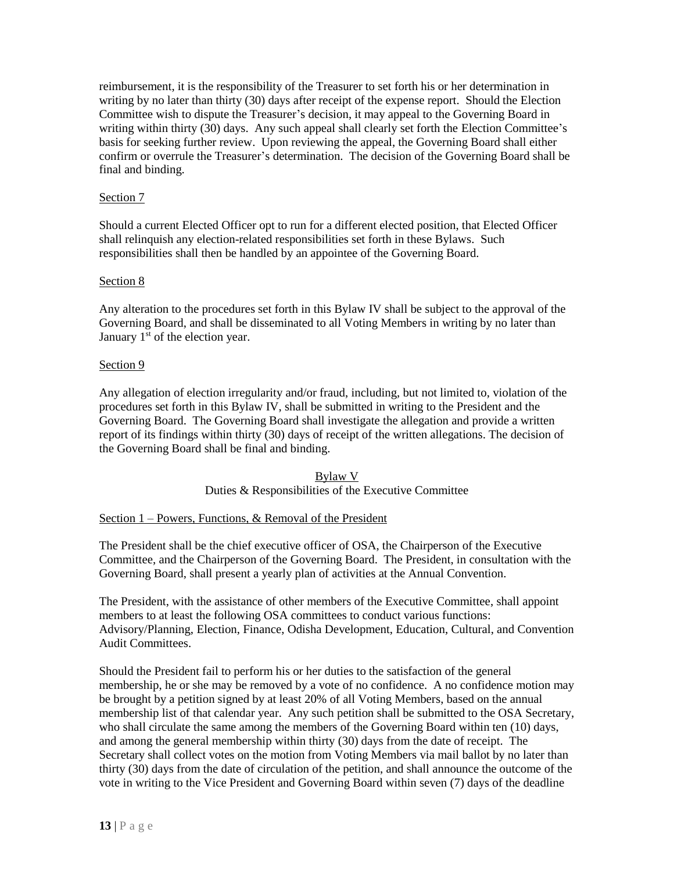reimbursement, it is the responsibility of the Treasurer to set forth his or her determination in writing by no later than thirty (30) days after receipt of the expense report. Should the Election Committee wish to dispute the Treasurer's decision, it may appeal to the Governing Board in writing within thirty (30) days. Any such appeal shall clearly set forth the Election Committee's basis for seeking further review. Upon reviewing the appeal, the Governing Board shall either confirm or overrule the Treasurer's determination. The decision of the Governing Board shall be final and binding.

### Section 7

Should a current Elected Officer opt to run for a different elected position, that Elected Officer shall relinquish any election-related responsibilities set forth in these Bylaws. Such responsibilities shall then be handled by an appointee of the Governing Board.

### Section 8

Any alteration to the procedures set forth in this Bylaw IV shall be subject to the approval of the Governing Board, and shall be disseminated to all Voting Members in writing by no later than January  $1<sup>st</sup>$  of the election year.

### Section 9

Any allegation of election irregularity and/or fraud, including, but not limited to, violation of the procedures set forth in this Bylaw IV, shall be submitted in writing to the President and the Governing Board. The Governing Board shall investigate the allegation and provide a written report of its findings within thirty (30) days of receipt of the written allegations. The decision of the Governing Board shall be final and binding.

> Bylaw V Duties & Responsibilities of the Executive Committee

### Section 1 – Powers, Functions, & Removal of the President

The President shall be the chief executive officer of OSA, the Chairperson of the Executive Committee, and the Chairperson of the Governing Board. The President, in consultation with the Governing Board, shall present a yearly plan of activities at the Annual Convention.

The President, with the assistance of other members of the Executive Committee, shall appoint members to at least the following OSA committees to conduct various functions: Advisory/Planning, Election, Finance, Odisha Development, Education, Cultural, and Convention Audit Committees.

Should the President fail to perform his or her duties to the satisfaction of the general membership, he or she may be removed by a vote of no confidence. A no confidence motion may be brought by a petition signed by at least 20% of all Voting Members, based on the annual membership list of that calendar year. Any such petition shall be submitted to the OSA Secretary, who shall circulate the same among the members of the Governing Board within ten (10) days, and among the general membership within thirty (30) days from the date of receipt. The Secretary shall collect votes on the motion from Voting Members via mail ballot by no later than thirty (30) days from the date of circulation of the petition, and shall announce the outcome of the vote in writing to the Vice President and Governing Board within seven (7) days of the deadline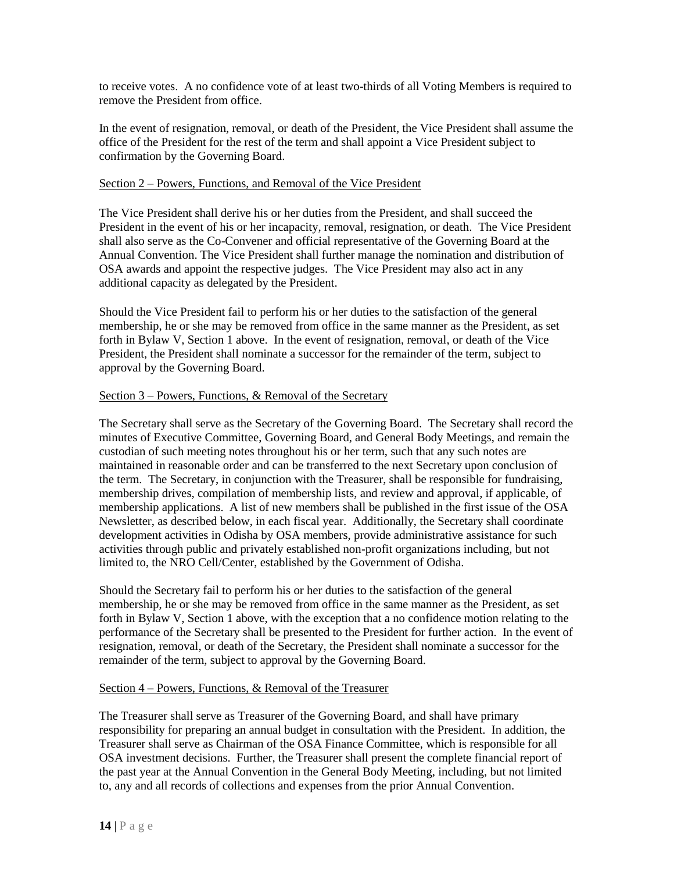to receive votes. A no confidence vote of at least two-thirds of all Voting Members is required to remove the President from office.

In the event of resignation, removal, or death of the President, the Vice President shall assume the office of the President for the rest of the term and shall appoint a Vice President subject to confirmation by the Governing Board.

### Section 2 – Powers, Functions, and Removal of the Vice President

The Vice President shall derive his or her duties from the President, and shall succeed the President in the event of his or her incapacity, removal, resignation, or death. The Vice President shall also serve as the Co-Convener and official representative of the Governing Board at the Annual Convention. The Vice President shall further manage the nomination and distribution of OSA awards and appoint the respective judges. The Vice President may also act in any additional capacity as delegated by the President.

Should the Vice President fail to perform his or her duties to the satisfaction of the general membership, he or she may be removed from office in the same manner as the President, as set forth in Bylaw V, Section 1 above. In the event of resignation, removal, or death of the Vice President, the President shall nominate a successor for the remainder of the term, subject to approval by the Governing Board.

### Section 3 – Powers, Functions, & Removal of the Secretary

The Secretary shall serve as the Secretary of the Governing Board. The Secretary shall record the minutes of Executive Committee, Governing Board, and General Body Meetings, and remain the custodian of such meeting notes throughout his or her term, such that any such notes are maintained in reasonable order and can be transferred to the next Secretary upon conclusion of the term. The Secretary, in conjunction with the Treasurer, shall be responsible for fundraising, membership drives, compilation of membership lists, and review and approval, if applicable, of membership applications. A list of new members shall be published in the first issue of the OSA Newsletter, as described below, in each fiscal year. Additionally, the Secretary shall coordinate development activities in Odisha by OSA members, provide administrative assistance for such activities through public and privately established non-profit organizations including, but not limited to, the NRO Cell/Center, established by the Government of Odisha.

Should the Secretary fail to perform his or her duties to the satisfaction of the general membership, he or she may be removed from office in the same manner as the President, as set forth in Bylaw V, Section 1 above, with the exception that a no confidence motion relating to the performance of the Secretary shall be presented to the President for further action. In the event of resignation, removal, or death of the Secretary, the President shall nominate a successor for the remainder of the term, subject to approval by the Governing Board.

#### Section 4 – Powers, Functions, & Removal of the Treasurer

The Treasurer shall serve as Treasurer of the Governing Board, and shall have primary responsibility for preparing an annual budget in consultation with the President. In addition, the Treasurer shall serve as Chairman of the OSA Finance Committee, which is responsible for all OSA investment decisions. Further, the Treasurer shall present the complete financial report of the past year at the Annual Convention in the General Body Meeting, including, but not limited to, any and all records of collections and expenses from the prior Annual Convention.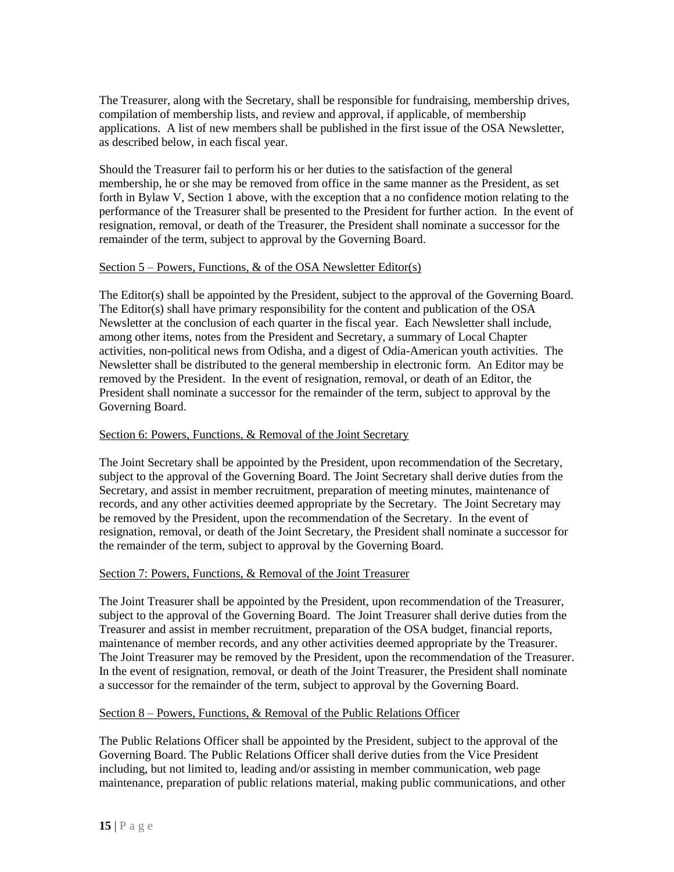The Treasurer, along with the Secretary, shall be responsible for fundraising, membership drives, compilation of membership lists, and review and approval, if applicable, of membership applications. A list of new members shall be published in the first issue of the OSA Newsletter, as described below, in each fiscal year.

Should the Treasurer fail to perform his or her duties to the satisfaction of the general membership, he or she may be removed from office in the same manner as the President, as set forth in Bylaw V, Section 1 above, with the exception that a no confidence motion relating to the performance of the Treasurer shall be presented to the President for further action. In the event of resignation, removal, or death of the Treasurer, the President shall nominate a successor for the remainder of the term, subject to approval by the Governing Board.

### Section  $5$  – Powers, Functions,  $\&$  of the OSA Newsletter Editor(s)

The Editor(s) shall be appointed by the President, subject to the approval of the Governing Board. The Editor(s) shall have primary responsibility for the content and publication of the OSA Newsletter at the conclusion of each quarter in the fiscal year. Each Newsletter shall include, among other items, notes from the President and Secretary, a summary of Local Chapter activities, non-political news from Odisha, and a digest of Odia-American youth activities. The Newsletter shall be distributed to the general membership in electronic form. An Editor may be removed by the President. In the event of resignation, removal, or death of an Editor, the President shall nominate a successor for the remainder of the term, subject to approval by the Governing Board.

### Section 6: Powers, Functions, & Removal of the Joint Secretary

The Joint Secretary shall be appointed by the President, upon recommendation of the Secretary, subject to the approval of the Governing Board. The Joint Secretary shall derive duties from the Secretary, and assist in member recruitment, preparation of meeting minutes, maintenance of records, and any other activities deemed appropriate by the Secretary. The Joint Secretary may be removed by the President, upon the recommendation of the Secretary. In the event of resignation, removal, or death of the Joint Secretary, the President shall nominate a successor for the remainder of the term, subject to approval by the Governing Board.

#### Section 7: Powers, Functions, & Removal of the Joint Treasurer

The Joint Treasurer shall be appointed by the President, upon recommendation of the Treasurer, subject to the approval of the Governing Board. The Joint Treasurer shall derive duties from the Treasurer and assist in member recruitment, preparation of the OSA budget, financial reports, maintenance of member records, and any other activities deemed appropriate by the Treasurer. The Joint Treasurer may be removed by the President, upon the recommendation of the Treasurer. In the event of resignation, removal, or death of the Joint Treasurer, the President shall nominate a successor for the remainder of the term, subject to approval by the Governing Board.

#### Section 8 – Powers, Functions, & Removal of the Public Relations Officer

The Public Relations Officer shall be appointed by the President, subject to the approval of the Governing Board. The Public Relations Officer shall derive duties from the Vice President including, but not limited to, leading and/or assisting in member communication, web page maintenance, preparation of public relations material, making public communications, and other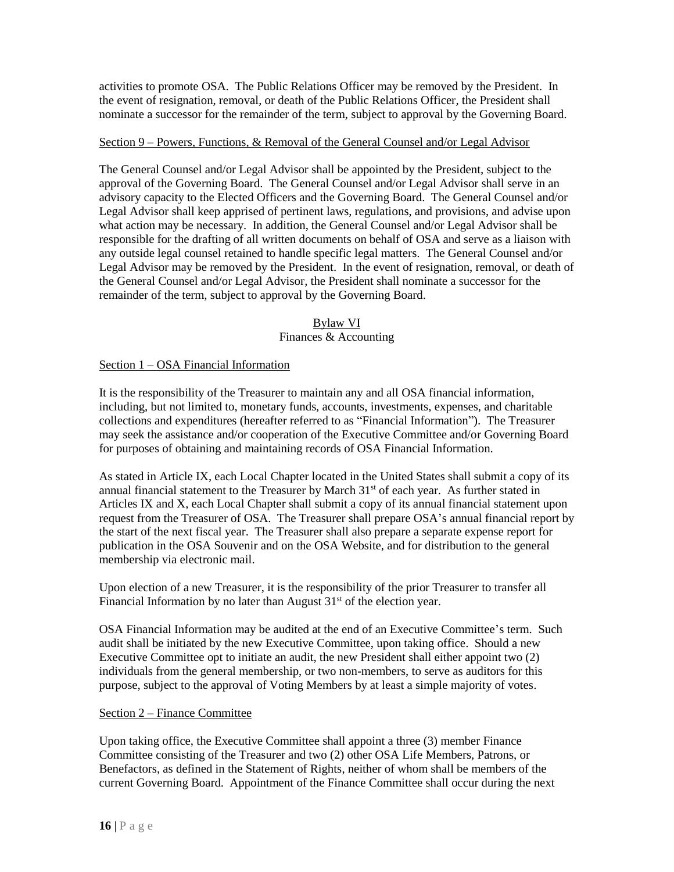activities to promote OSA. The Public Relations Officer may be removed by the President. In the event of resignation, removal, or death of the Public Relations Officer, the President shall nominate a successor for the remainder of the term, subject to approval by the Governing Board.

### Section 9 – Powers, Functions, & Removal of the General Counsel and/or Legal Advisor

The General Counsel and/or Legal Advisor shall be appointed by the President, subject to the approval of the Governing Board. The General Counsel and/or Legal Advisor shall serve in an advisory capacity to the Elected Officers and the Governing Board. The General Counsel and/or Legal Advisor shall keep apprised of pertinent laws, regulations, and provisions, and advise upon what action may be necessary. In addition, the General Counsel and/or Legal Advisor shall be responsible for the drafting of all written documents on behalf of OSA and serve as a liaison with any outside legal counsel retained to handle specific legal matters. The General Counsel and/or Legal Advisor may be removed by the President. In the event of resignation, removal, or death of the General Counsel and/or Legal Advisor, the President shall nominate a successor for the remainder of the term, subject to approval by the Governing Board.

### Bylaw VI

### Finances & Accounting

### Section 1 – OSA Financial Information

It is the responsibility of the Treasurer to maintain any and all OSA financial information, including, but not limited to, monetary funds, accounts, investments, expenses, and charitable collections and expenditures (hereafter referred to as "Financial Information"). The Treasurer may seek the assistance and/or cooperation of the Executive Committee and/or Governing Board for purposes of obtaining and maintaining records of OSA Financial Information.

As stated in Article IX, each Local Chapter located in the United States shall submit a copy of its annual financial statement to the Treasurer by March 31<sup>st</sup> of each year. As further stated in Articles IX and X, each Local Chapter shall submit a copy of its annual financial statement upon request from the Treasurer of OSA. The Treasurer shall prepare OSA's annual financial report by the start of the next fiscal year. The Treasurer shall also prepare a separate expense report for publication in the OSA Souvenir and on the OSA Website, and for distribution to the general membership via electronic mail.

Upon election of a new Treasurer, it is the responsibility of the prior Treasurer to transfer all Financial Information by no later than August  $31<sup>st</sup>$  of the election year.

OSA Financial Information may be audited at the end of an Executive Committee's term. Such audit shall be initiated by the new Executive Committee, upon taking office. Should a new Executive Committee opt to initiate an audit, the new President shall either appoint two (2) individuals from the general membership, or two non-members, to serve as auditors for this purpose, subject to the approval of Voting Members by at least a simple majority of votes.

### Section 2 – Finance Committee

Upon taking office, the Executive Committee shall appoint a three (3) member Finance Committee consisting of the Treasurer and two (2) other OSA Life Members, Patrons, or Benefactors, as defined in the Statement of Rights, neither of whom shall be members of the current Governing Board. Appointment of the Finance Committee shall occur during the next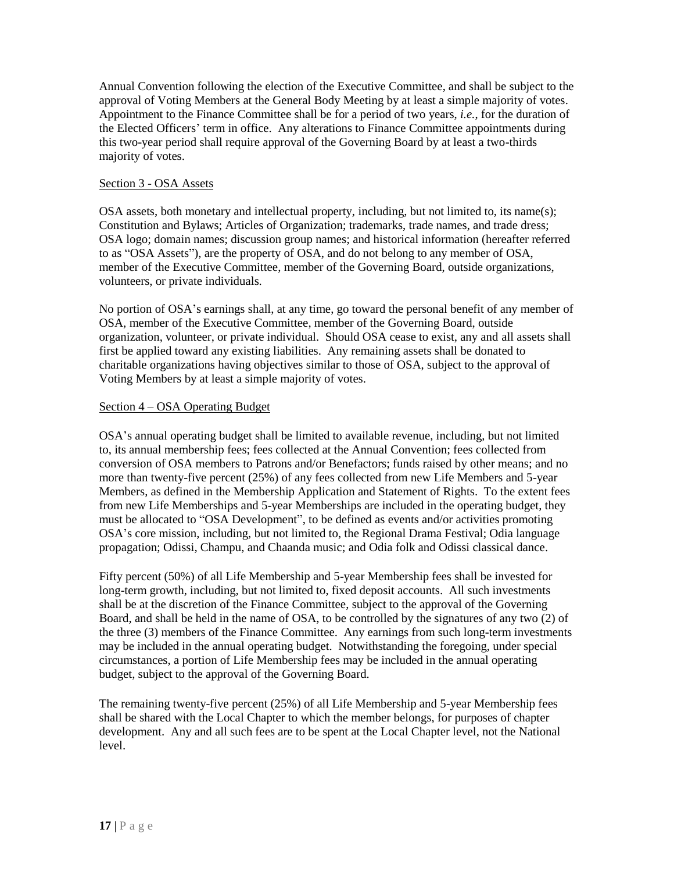Annual Convention following the election of the Executive Committee, and shall be subject to the approval of Voting Members at the General Body Meeting by at least a simple majority of votes. Appointment to the Finance Committee shall be for a period of two years, *i.e.*, for the duration of the Elected Officers' term in office. Any alterations to Finance Committee appointments during this two-year period shall require approval of the Governing Board by at least a two-thirds majority of votes.

### Section 3 - OSA Assets

OSA assets, both monetary and intellectual property, including, but not limited to, its name(s); Constitution and Bylaws; Articles of Organization; trademarks, trade names, and trade dress; OSA logo; domain names; discussion group names; and historical information (hereafter referred to as "OSA Assets"), are the property of OSA, and do not belong to any member of OSA, member of the Executive Committee, member of the Governing Board, outside organizations, volunteers, or private individuals.

No portion of OSA's earnings shall, at any time, go toward the personal benefit of any member of OSA, member of the Executive Committee, member of the Governing Board, outside organization, volunteer, or private individual. Should OSA cease to exist, any and all assets shall first be applied toward any existing liabilities. Any remaining assets shall be donated to charitable organizations having objectives similar to those of OSA, subject to the approval of Voting Members by at least a simple majority of votes.

### Section 4 – OSA Operating Budget

OSA's annual operating budget shall be limited to available revenue, including, but not limited to, its annual membership fees; fees collected at the Annual Convention; fees collected from conversion of OSA members to Patrons and/or Benefactors; funds raised by other means; and no more than twenty-five percent (25%) of any fees collected from new Life Members and 5-year Members, as defined in the Membership Application and Statement of Rights. To the extent fees from new Life Memberships and 5-year Memberships are included in the operating budget, they must be allocated to "OSA Development", to be defined as events and/or activities promoting OSA's core mission, including, but not limited to, the Regional Drama Festival; Odia language propagation; Odissi, Champu, and Chaanda music; and Odia folk and Odissi classical dance.

Fifty percent (50%) of all Life Membership and 5-year Membership fees shall be invested for long-term growth, including, but not limited to, fixed deposit accounts. All such investments shall be at the discretion of the Finance Committee, subject to the approval of the Governing Board, and shall be held in the name of OSA, to be controlled by the signatures of any two (2) of the three (3) members of the Finance Committee. Any earnings from such long-term investments may be included in the annual operating budget. Notwithstanding the foregoing, under special circumstances, a portion of Life Membership fees may be included in the annual operating budget, subject to the approval of the Governing Board.

The remaining twenty-five percent (25%) of all Life Membership and 5-year Membership fees shall be shared with the Local Chapter to which the member belongs, for purposes of chapter development. Any and all such fees are to be spent at the Local Chapter level, not the National level.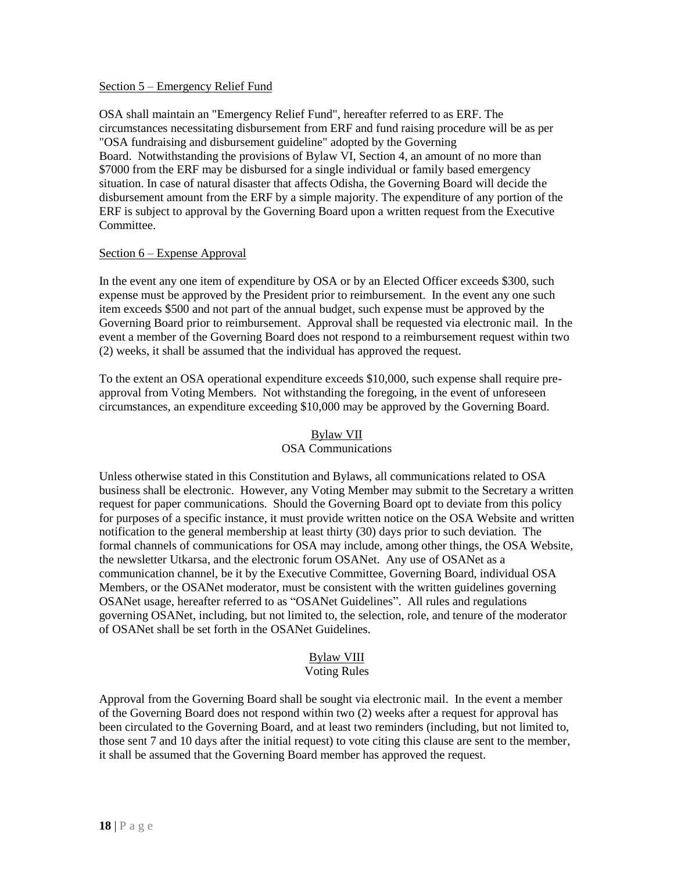#### Section 5 – Emergency Relief Fund

OSA shall maintain an "Emergency Relief Fund", hereafter referred to as ERF. The circumstances necessitating disbursement from ERF and fund raising procedure will be as per "OSA fundraising and disbursement guideline" adopted by the Governing Board. Notwithstanding the provisions of Bylaw VI, Section 4, an amount of no more than \$7000 from the ERF may be disbursed for a single individual or family based emergency situation. In case of natural disaster that affects Odisha, the Governing Board will decide the disbursement amount from the ERF by a simple majority. The expenditure of any portion of the ERF is subject to approval by the Governing Board upon a written request from the Executive Committee.

### Section 6 – Expense Approval

In the event any one item of expenditure by OSA or by an Elected Officer exceeds \$300, such expense must be approved by the President prior to reimbursement. In the event any one such item exceeds \$500 and not part of the annual budget, such expense must be approved by the Governing Board prior to reimbursement. Approval shall be requested via electronic mail. In the event a member of the Governing Board does not respond to a reimbursement request within two (2) weeks, it shall be assumed that the individual has approved the request.

To the extent an OSA operational expenditure exceeds \$10,000, such expense shall require preapproval from Voting Members. Not withstanding the foregoing, in the event of unforeseen circumstances, an expenditure exceeding \$10,000 may be approved by the Governing Board.

### Bylaw VII OSA Communications

Unless otherwise stated in this Constitution and Bylaws, all communications related to OSA business shall be electronic. However, any Voting Member may submit to the Secretary a written request for paper communications. Should the Governing Board opt to deviate from this policy for purposes of a specific instance, it must provide written notice on the OSA Website and written notification to the general membership at least thirty (30) days prior to such deviation. The formal channels of communications for OSA may include, among other things, the OSA Website, the newsletter Utkarsa, and the electronic forum OSANet. Any use of OSANet as a communication channel, be it by the Executive Committee, Governing Board, individual OSA Members, or the OSANet moderator, must be consistent with the written guidelines governing OSANet usage, hereafter referred to as "OSANet Guidelines". All rules and regulations governing OSANet, including, but not limited to, the selection, role, and tenure of the moderator of OSANet shall be set forth in the OSANet Guidelines.

## Bylaw VIII

### Voting Rules

Approval from the Governing Board shall be sought via electronic mail. In the event a member of the Governing Board does not respond within two (2) weeks after a request for approval has been circulated to the Governing Board, and at least two reminders (including, but not limited to, those sent 7 and 10 days after the initial request) to vote citing this clause are sent to the member, it shall be assumed that the Governing Board member has approved the request.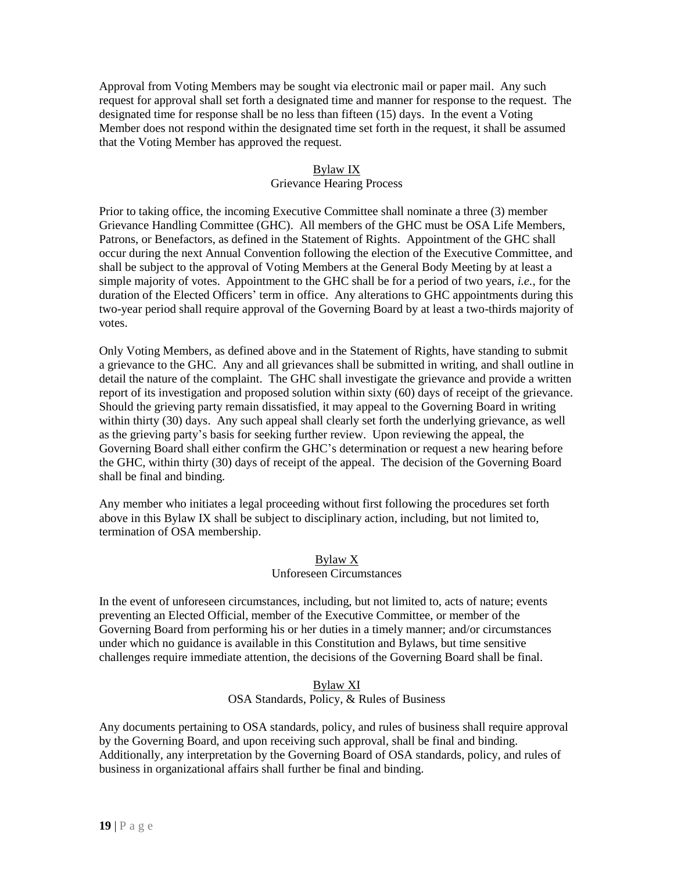Approval from Voting Members may be sought via electronic mail or paper mail. Any such request for approval shall set forth a designated time and manner for response to the request. The designated time for response shall be no less than fifteen (15) days. In the event a Voting Member does not respond within the designated time set forth in the request, it shall be assumed that the Voting Member has approved the request.

### Bylaw IX

### Grievance Hearing Process

Prior to taking office, the incoming Executive Committee shall nominate a three (3) member Grievance Handling Committee (GHC). All members of the GHC must be OSA Life Members, Patrons, or Benefactors, as defined in the Statement of Rights. Appointment of the GHC shall occur during the next Annual Convention following the election of the Executive Committee, and shall be subject to the approval of Voting Members at the General Body Meeting by at least a simple majority of votes. Appointment to the GHC shall be for a period of two years, *i.e.*, for the duration of the Elected Officers' term in office. Any alterations to GHC appointments during this two-year period shall require approval of the Governing Board by at least a two-thirds majority of votes.

Only Voting Members, as defined above and in the Statement of Rights, have standing to submit a grievance to the GHC. Any and all grievances shall be submitted in writing, and shall outline in detail the nature of the complaint. The GHC shall investigate the grievance and provide a written report of its investigation and proposed solution within sixty (60) days of receipt of the grievance. Should the grieving party remain dissatisfied, it may appeal to the Governing Board in writing within thirty (30) days. Any such appeal shall clearly set forth the underlying grievance, as well as the grieving party's basis for seeking further review. Upon reviewing the appeal, the Governing Board shall either confirm the GHC's determination or request a new hearing before the GHC, within thirty (30) days of receipt of the appeal. The decision of the Governing Board shall be final and binding.

Any member who initiates a legal proceeding without first following the procedures set forth above in this Bylaw IX shall be subject to disciplinary action, including, but not limited to, termination of OSA membership.

#### Bylaw X

### Unforeseen Circumstances

In the event of unforeseen circumstances, including, but not limited to, acts of nature; events preventing an Elected Official, member of the Executive Committee, or member of the Governing Board from performing his or her duties in a timely manner; and/or circumstances under which no guidance is available in this Constitution and Bylaws, but time sensitive challenges require immediate attention, the decisions of the Governing Board shall be final.

#### Bylaw XI OSA Standards, Policy, & Rules of Business

Any documents pertaining to OSA standards, policy, and rules of business shall require approval by the Governing Board, and upon receiving such approval, shall be final and binding. Additionally, any interpretation by the Governing Board of OSA standards, policy, and rules of business in organizational affairs shall further be final and binding.